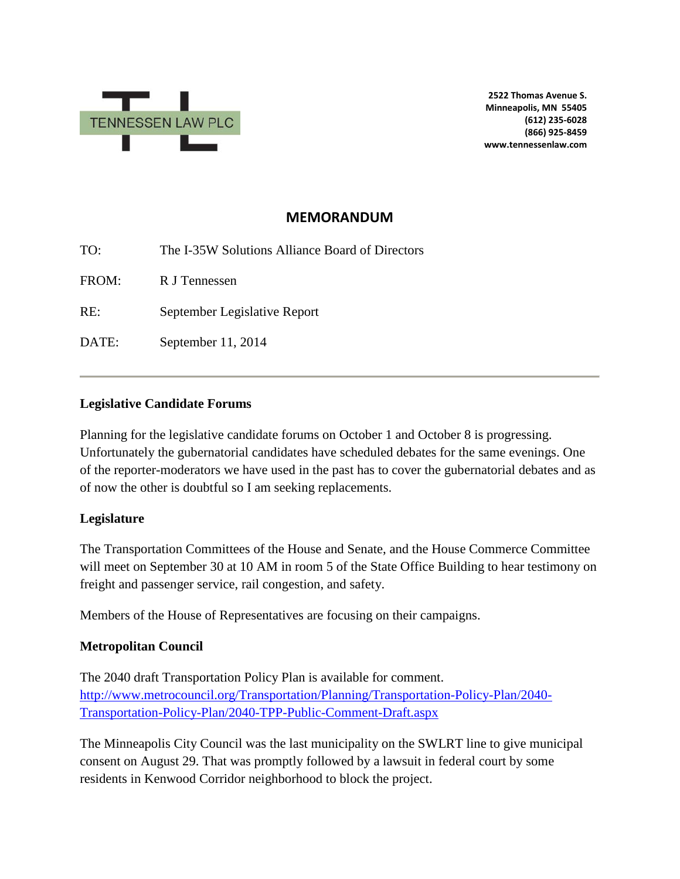

**2522 Thomas Avenue S. Minneapolis, MN 55405 (612) 235-6028 (866) 925-8459 www.tennessenlaw.com**

# **MEMORANDUM**

TO: The I-35W Solutions Alliance Board of Directors FROM: R J Tennessen RE: September Legislative Report DATE: September 11, 2014

### **Legislative Candidate Forums**

Planning for the legislative candidate forums on October 1 and October 8 is progressing. Unfortunately the gubernatorial candidates have scheduled debates for the same evenings. One of the reporter-moderators we have used in the past has to cover the gubernatorial debates and as of now the other is doubtful so I am seeking replacements.

#### **Legislature**

The Transportation Committees of the House and Senate, and the House Commerce Committee will meet on September 30 at 10 AM in room 5 of the State Office Building to hear testimony on freight and passenger service, rail congestion, and safety.

Members of the House of Representatives are focusing on their campaigns.

## **Metropolitan Council**

The 2040 draft Transportation Policy Plan is available for comment. [http://www.metrocouncil.org/Transportation/Planning/Transportation-Policy-Plan/2040-](http://www.metrocouncil.org/Transportation/Planning/Transportation-Policy-Plan/2040-Transportation-Policy-Plan/2040-TPP-Public-Comment-Draft.aspx) [Transportation-Policy-Plan/2040-TPP-Public-Comment-Draft.aspx](http://www.metrocouncil.org/Transportation/Planning/Transportation-Policy-Plan/2040-Transportation-Policy-Plan/2040-TPP-Public-Comment-Draft.aspx)

The Minneapolis City Council was the last municipality on the SWLRT line to give municipal consent on August 29. That was promptly followed by a lawsuit in federal court by some residents in Kenwood Corridor neighborhood to block the project.